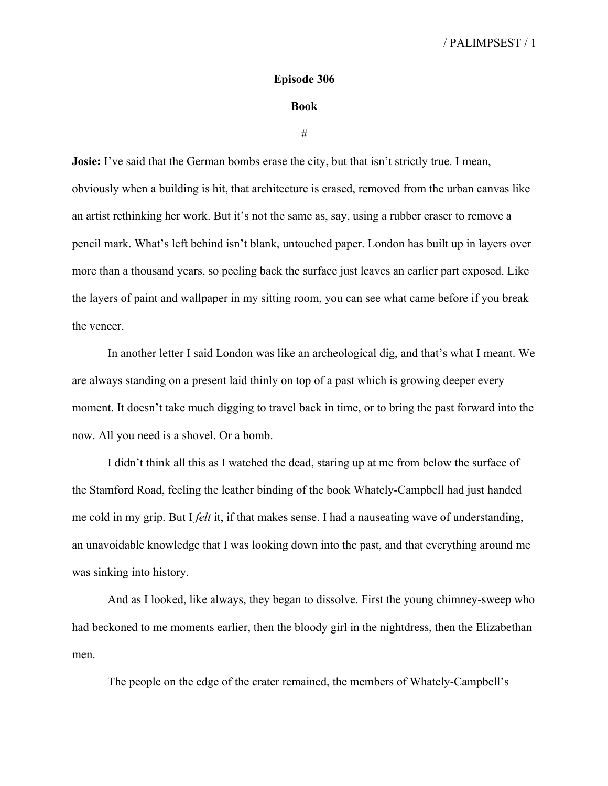## **Episode 306**

## **Book**

#

**Josie:** I've said that the German bombs erase the city, but that isn't strictly true. I mean, obviously when a building is hit, that architecture is erased, removed from the urban canvas like an artist rethinking her work. But it's not the same as, say, using a rubber eraser to remove a pencil mark. What's left behind isn't blank, untouched paper. London has built up in layers over more than a thousand years, so peeling back the surface just leaves an earlier part exposed. Like the layers of paint and wallpaper in my sitting room, you can see what came before if you break the veneer.

In another letter I said London was like an archeological dig, and that's what I meant. We are always standing on a present laid thinly on top of a past which is growing deeper every moment. It doesn't take much digging to travel back in time, or to bring the past forward into the now. All you need is a shovel. Or a bomb.

I didn't think all this as I watched the dead, staring up at me from below the surface of the Stamford Road, feeling the leather binding of the book Whately-Campbell had just handed me cold in my grip. But I *felt* it, if that makes sense. I had a nauseating wave of understanding, an unavoidable knowledge that I was looking down into the past, and that everything around me was sinking into history.

And as I looked, like always, they began to dissolve. First the young chimney-sweep who had beckoned to me moments earlier, then the bloody girl in the nightdress, then the Elizabethan men.

The people on the edge of the crater remained, the members of Whately-Campbell's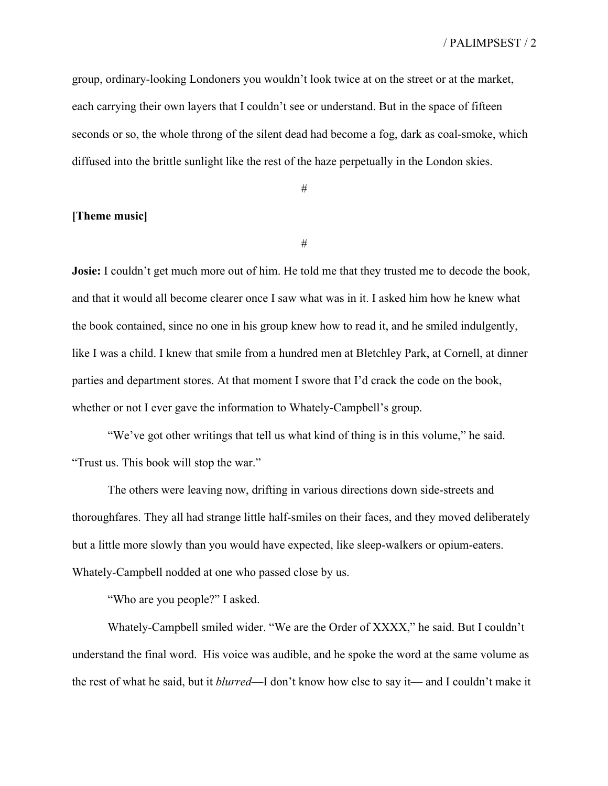group, ordinary-looking Londoners you wouldn't look twice at on the street or at the market, each carrying their own layers that I couldn't see or understand. But in the space of fifteen seconds or so, the whole throng of the silent dead had become a fog, dark as coal-smoke, which diffused into the brittle sunlight like the rest of the haze perpetually in the London skies.

#

## **[Theme music]**

#

**Josie:** I couldn't get much more out of him. He told me that they trusted me to decode the book, and that it would all become clearer once I saw what was in it. I asked him how he knew what the book contained, since no one in his group knew how to read it, and he smiled indulgently, like I was a child. I knew that smile from a hundred men at Bletchley Park, at Cornell, at dinner parties and department stores. At that moment I swore that I'd crack the code on the book, whether or not I ever gave the information to Whately-Campbell's group.

"We've got other writings that tell us what kind of thing is in this volume," he said. "Trust us. This book will stop the war."

The others were leaving now, drifting in various directions down side-streets and thoroughfares. They all had strange little half-smiles on their faces, and they moved deliberately but a little more slowly than you would have expected, like sleep-walkers or opium-eaters. Whately-Campbell nodded at one who passed close by us.

"Who are you people?" I asked.

Whately-Campbell smiled wider. "We are the Order of XXXX," he said. But I couldn't understand the final word. His voice was audible, and he spoke the word at the same volume as the rest of what he said, but it *blurred*—I don't know how else to say it— and I couldn't make it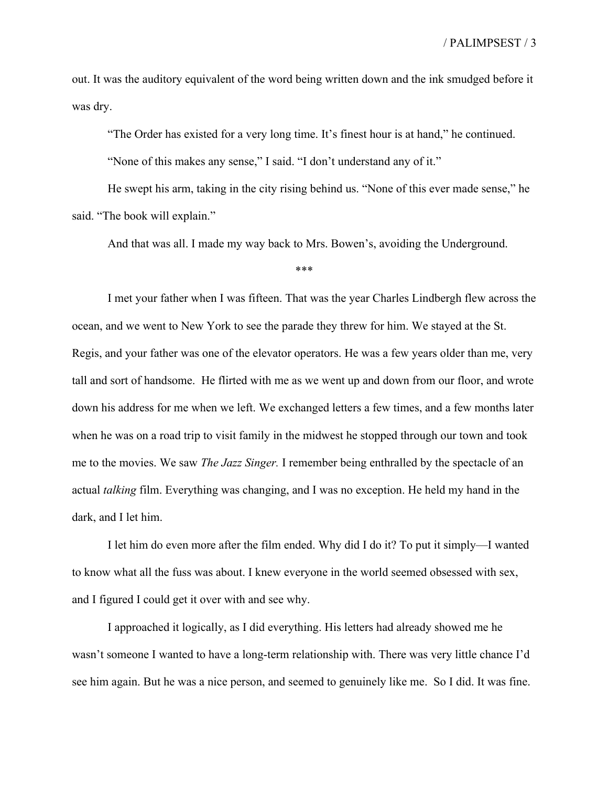out. It was the auditory equivalent of the word being written down and the ink smudged before it was dry.

"The Order has existed for a very long time. It's finest hour is at hand," he continued.

"None of this makes any sense," I said. "I don't understand any of it."

He swept his arm, taking in the city rising behind us. "None of this ever made sense," he said. "The book will explain."

And that was all. I made my way back to Mrs. Bowen's, avoiding the Underground.

\*\*\*

I met your father when I was fifteen. That was the year Charles Lindbergh flew across the ocean, and we went to New York to see the parade they threw for him. We stayed at the St. Regis, and your father was one of the elevator operators. He was a few years older than me, very tall and sort of handsome. He flirted with me as we went up and down from our floor, and wrote down his address for me when we left. We exchanged letters a few times, and a few months later when he was on a road trip to visit family in the midwest he stopped through our town and took me to the movies. We saw *The Jazz Singer.* I remember being enthralled by the spectacle of an actual *talking* film. Everything was changing, and I was no exception. He held my hand in the dark, and I let him.

I let him do even more after the film ended. Why did I do it? To put it simply—I wanted to know what all the fuss was about. I knew everyone in the world seemed obsessed with sex, and I figured I could get it over with and see why.

I approached it logically, as I did everything. His letters had already showed me he wasn't someone I wanted to have a long-term relationship with. There was very little chance I'd see him again. But he was a nice person, and seemed to genuinely like me. So I did. It was fine.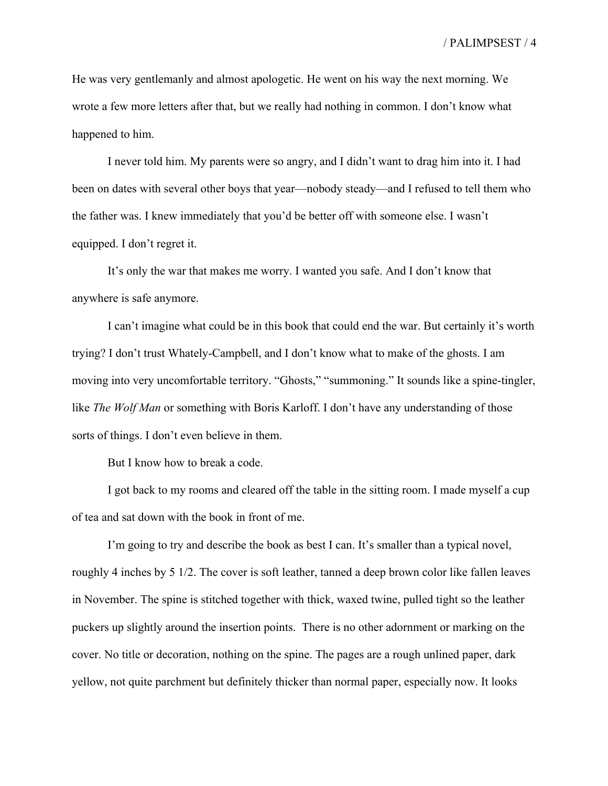He was very gentlemanly and almost apologetic. He went on his way the next morning. We wrote a few more letters after that, but we really had nothing in common. I don't know what happened to him.

I never told him. My parents were so angry, and I didn't want to drag him into it. I had been on dates with several other boys that year—nobody steady—and I refused to tell them who the father was. I knew immediately that you'd be better off with someone else. I wasn't equipped. I don't regret it.

It's only the war that makes me worry. I wanted you safe. And I don't know that anywhere is safe anymore.

I can't imagine what could be in this book that could end the war. But certainly it's worth trying? I don't trust Whately-Campbell, and I don't know what to make of the ghosts. I am moving into very uncomfortable territory. "Ghosts," "summoning." It sounds like a spine-tingler, like *The Wolf Man* or something with Boris Karloff. I don't have any understanding of those sorts of things. I don't even believe in them.

But I know how to break a code.

I got back to my rooms and cleared off the table in the sitting room. I made myself a cup of tea and sat down with the book in front of me.

I'm going to try and describe the book as best I can. It's smaller than a typical novel, roughly 4 inches by 5 1/2. The cover is soft leather, tanned a deep brown color like fallen leaves in November. The spine is stitched together with thick, waxed twine, pulled tight so the leather puckers up slightly around the insertion points. There is no other adornment or marking on the cover. No title or decoration, nothing on the spine. The pages are a rough unlined paper, dark yellow, not quite parchment but definitely thicker than normal paper, especially now. It looks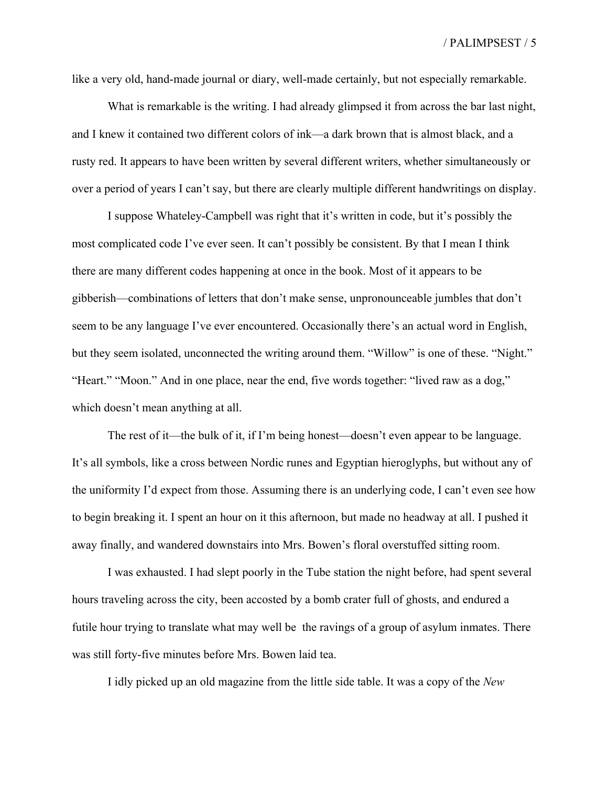like a very old, hand-made journal or diary, well-made certainly, but not especially remarkable.

What is remarkable is the writing. I had already glimpsed it from across the bar last night, and I knew it contained two different colors of ink—a dark brown that is almost black, and a rusty red. It appears to have been written by several different writers, whether simultaneously or over a period of years I can't say, but there are clearly multiple different handwritings on display.

I suppose Whateley-Campbell was right that it's written in code, but it's possibly the most complicated code I've ever seen. It can't possibly be consistent. By that I mean I think there are many different codes happening at once in the book. Most of it appears to be gibberish—combinations of letters that don't make sense, unpronounceable jumbles that don't seem to be any language I've ever encountered. Occasionally there's an actual word in English, but they seem isolated, unconnected the writing around them. "Willow" is one of these. "Night." "Heart." "Moon." And in one place, near the end, five words together: "lived raw as a dog," which doesn't mean anything at all.

The rest of it—the bulk of it, if I'm being honest—doesn't even appear to be language. It's all symbols, like a cross between Nordic runes and Egyptian hieroglyphs, but without any of the uniformity I'd expect from those. Assuming there is an underlying code, I can't even see how to begin breaking it. I spent an hour on it this afternoon, but made no headway at all. I pushed it away finally, and wandered downstairs into Mrs. Bowen's floral overstuffed sitting room.

I was exhausted. I had slept poorly in the Tube station the night before, had spent several hours traveling across the city, been accosted by a bomb crater full of ghosts, and endured a futile hour trying to translate what may well be the ravings of a group of asylum inmates. There was still forty-five minutes before Mrs. Bowen laid tea.

I idly picked up an old magazine from the little side table. It was a copy of the *New*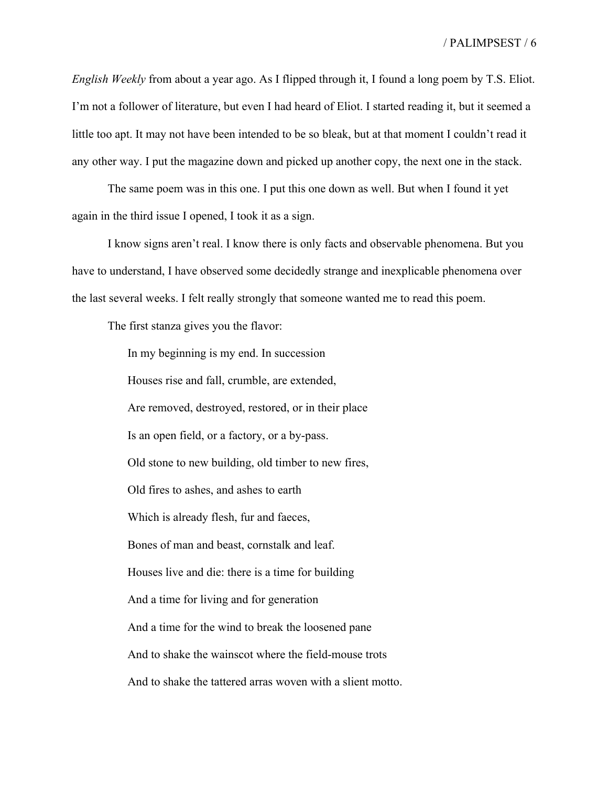*English Weekly* from about a year ago. As I flipped through it, I found a long poem by T.S. Eliot. I'm not a follower of literature, but even I had heard of Eliot. I started reading it, but it seemed a little too apt. It may not have been intended to be so bleak, but at that moment I couldn't read it any other way. I put the magazine down and picked up another copy, the next one in the stack.

The same poem was in this one. I put this one down as well. But when I found it yet again in the third issue I opened, I took it as a sign.

I know signs aren't real. I know there is only facts and observable phenomena. But you have to understand, I have observed some decidedly strange and inexplicable phenomena over the last several weeks. I felt really strongly that someone wanted me to read this poem.

The first stanza gives you the flavor:

In my beginning is my end. In succession Houses rise and fall, crumble, are extended, Are removed, destroyed, restored, or in their place Is an open field, or a factory, or a by-pass. Old stone to new building, old timber to new fires, Old fires to ashes, and ashes to earth Which is already flesh, fur and faeces, Bones of man and beast, cornstalk and leaf. Houses live and die: there is a time for building And a time for living and for generation And a time for the wind to break the loosened pane And to shake the wainscot where the field-mouse trots And to shake the tattered arras woven with a slient motto.